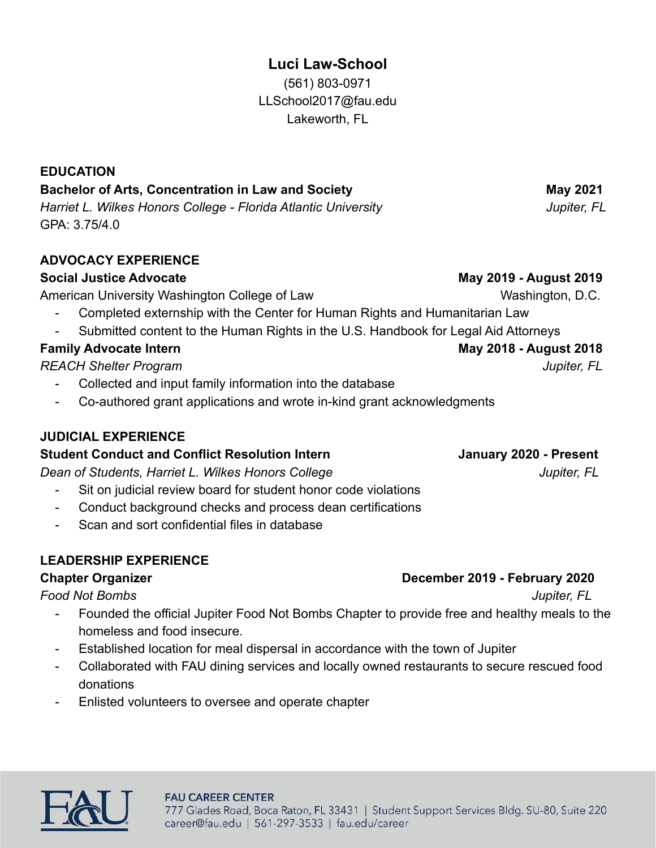# **Luci Law-School**

(561) 803-0971 LLSchool2017@fau.edu Lakeworth, FL

### **EDUCATION**

## **Bachelor of Arts, Concentration in Law and Society May 2021** May 2021

*Harriet L. Wilkes Honors College - Florida Atlantic University* The Matter of *Jupiter, FL* GPA: 3.75/4.0

## **ADVOCACY EXPERIENCE**

### **Social Justice Advocate May 2019 - August 2019**

American University Washington College of Law Washington, D.C.

- Completed externship with the Center for Human Rights and Humanitarian Law
- Submitted content to the Human Rights in the U.S. Handbook for Legal Aid Attorneys

*REACH Shelter Program Jupiter, FL*

- Collected and input family information into the database
- Co-authored grant applications and wrote in-kind grant acknowledgments

## **JUDICIAL EXPERIENCE**

#### **Student Conduct and Conflict Resolution Intern Manuary 2020 - Present**

**Dean of Students, Harriet L. Wilkes Honors College** *Jupiter, FL* 

- Sit on judicial review board for student honor code violations
- Conduct background checks and process dean certifications
- Scan and sort confidential files in database

## **LEADERSHIP EXPERIENCE**

*Food Not Bombs Jupiter, FL*

- Founded the official Jupiter Food Not Bombs Chapter to provide free and healthy meals to the homeless and food insecure.
- Established location for meal dispersal in accordance with the town of Jupiter
- Collaborated with FAU dining services and locally owned restaurants to secure rescued food donations
- Enlisted volunteers to oversee and operate chapter



#### **FAU CAREER CENTER** 777 Glades Road, Boca Raton, FL 33431 | Student Support Services Bldg. SU-80, Suite 220 career@fau.edu | 561-297-3533 | fau.edu/career

#### **Chapter Organizer Chapter 2019 - February 2020**

**Family Advocate Intern May 2018 - August 2018**